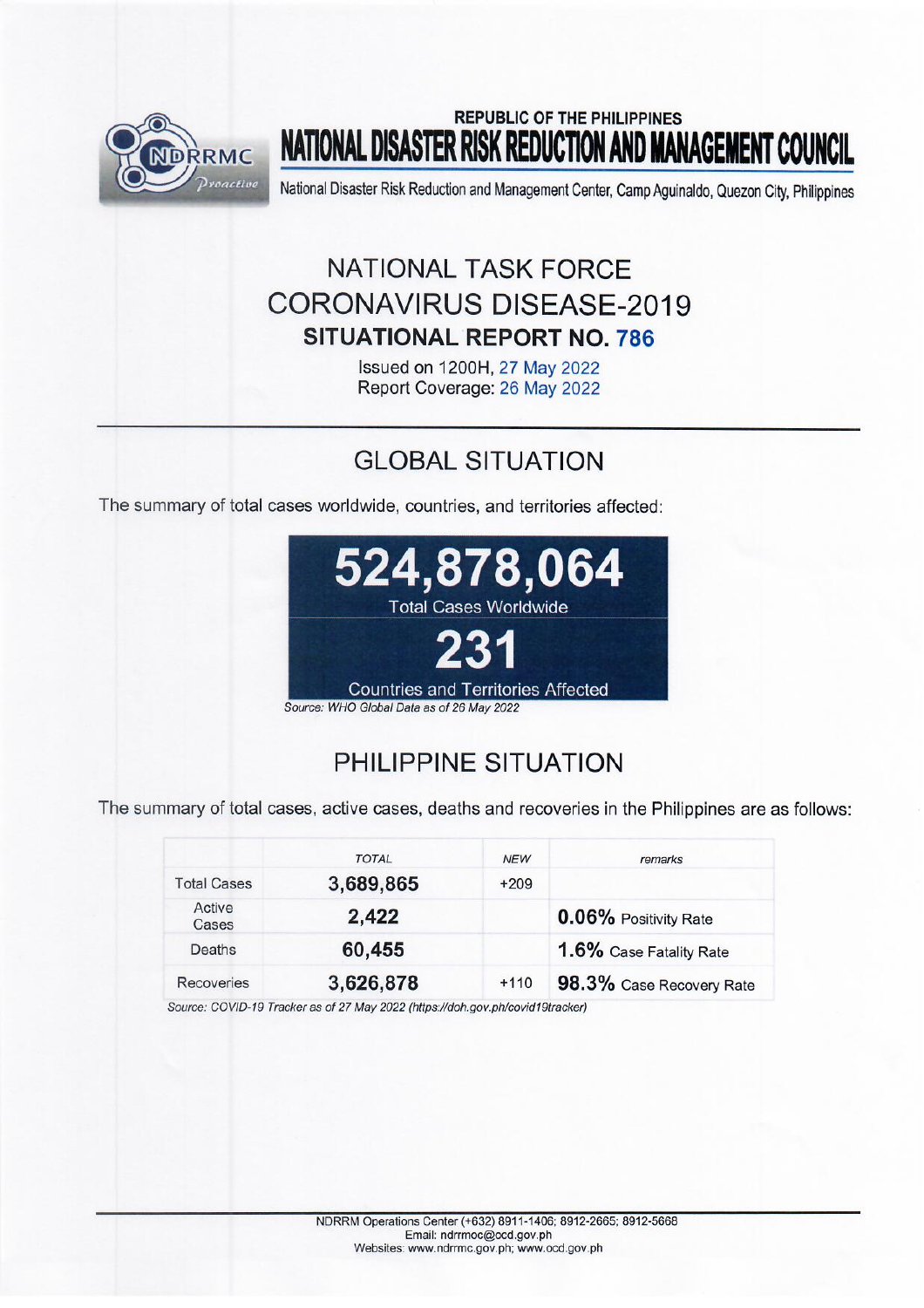

# **REPUBLIC OF THE PHILIPPINES** NATIONAL DISASTER RISK REDUCTION AND MANAGEMENT COUNCIL

National Disaster Risk Reduction and Management Center, Camp Aguinaldo, Quezon City, Philippines

# NATIONAL TASK FORCE **CORONAVIRUS DISEASE-2019 SITUATIONAL REPORT NO. 786**

Issued on 1200H, 27 May 2022 Report Coverage: 26 May 2022

# **GLOBAL SITUATION**

The summary of total cases worldwide, countries, and territories affected:



# PHILIPPINE SITUATION

The summary of total cases, active cases, deaths and recoveries in the Philippines are as follows:

|                    | <b>TOTAL</b> | <b>NEW</b> | remarks                  |
|--------------------|--------------|------------|--------------------------|
| <b>Total Cases</b> | 3,689,865    | $+209$     |                          |
| Active<br>Cases    | 2,422        |            | 0.06% Positivity Rate    |
| Deaths             | 60,455       |            | 1.6% Case Fatality Rate  |
| <b>Recoveries</b>  | 3,626,878    | $+110$     | 98.3% Case Recovery Rate |

Source: COVID-19 Tracker as of 27 May 2022 (https://doh.gov.ph/covid19tracker)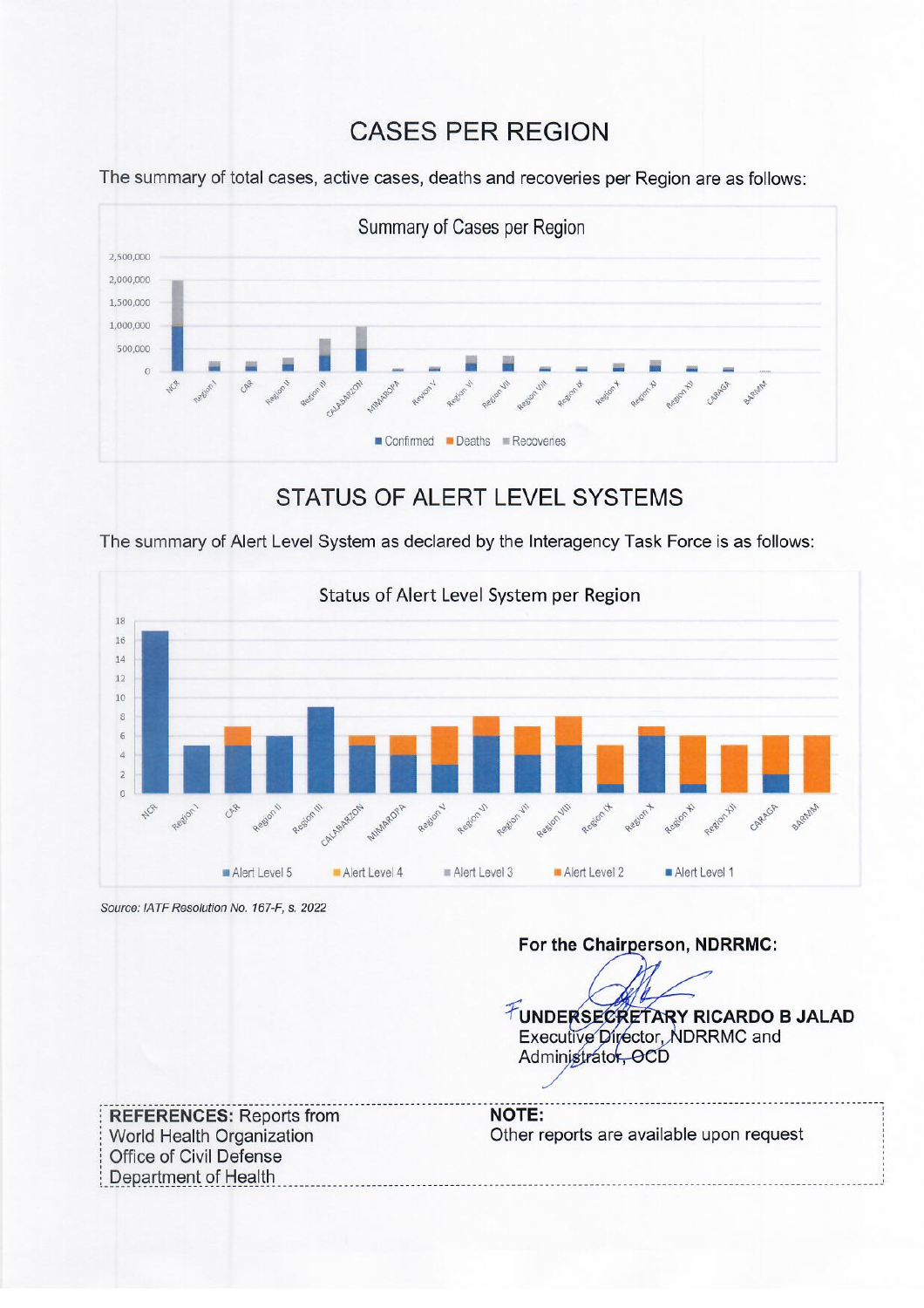## **CASES PER REGION**

The summary of total cases, active cases, deaths and recoveries per Region are as follows:



## STATUS OF ALERT LEVEL SYSTEMS

The summary of Alert Level System as declared by the Interagency Task Force is as follows:



Source: IATF Resolution No. 167-F, s. 2022

For the Chairperson, NDRRMC:

FUNDERSECRETARY RICARDO B JALAD Executive Director, NDRRMC and Administrator, OCD

**REFERENCES: Reports from** World Health Organization Office of Civil Defense Department of Health

**NOTE:** Other reports are available upon request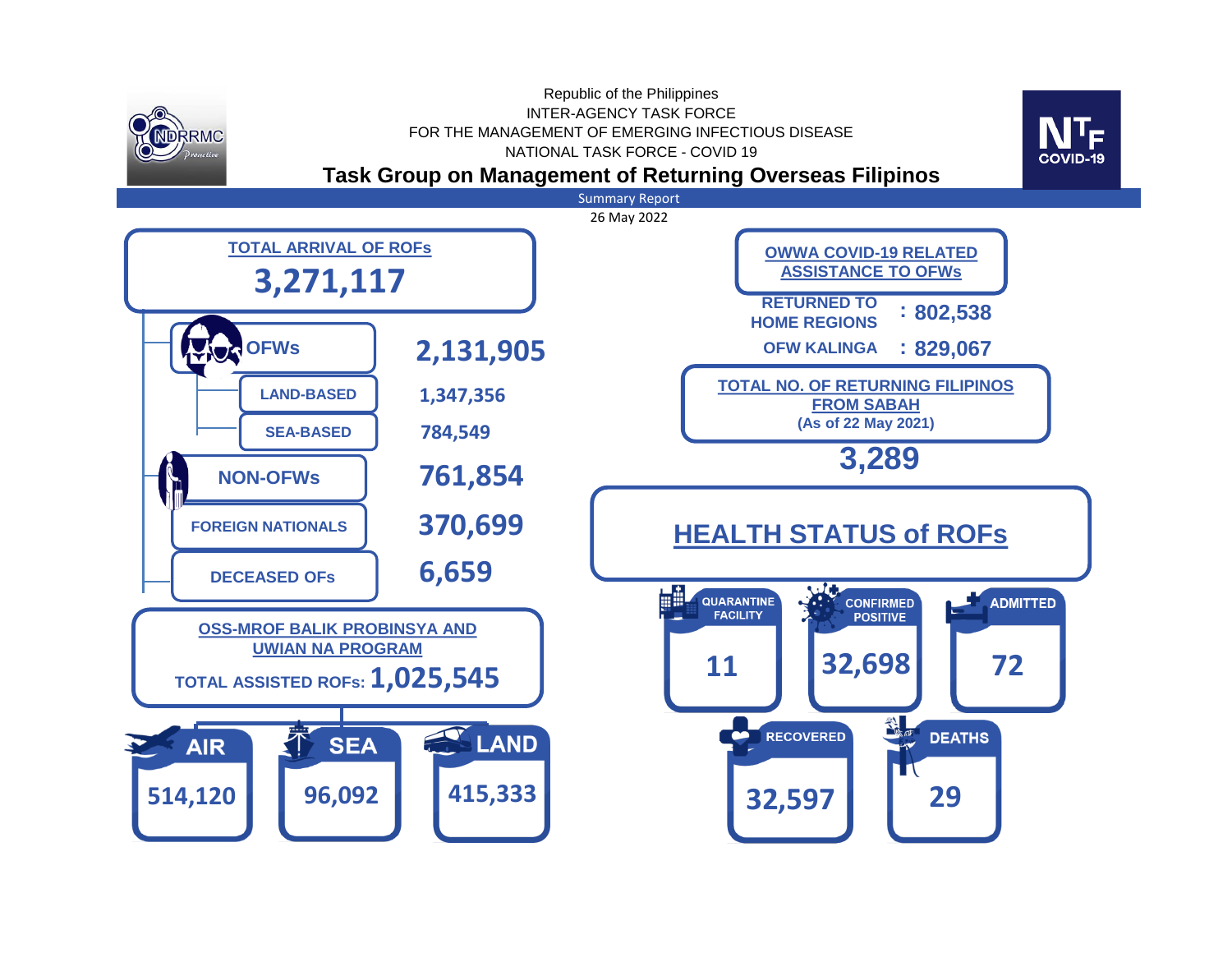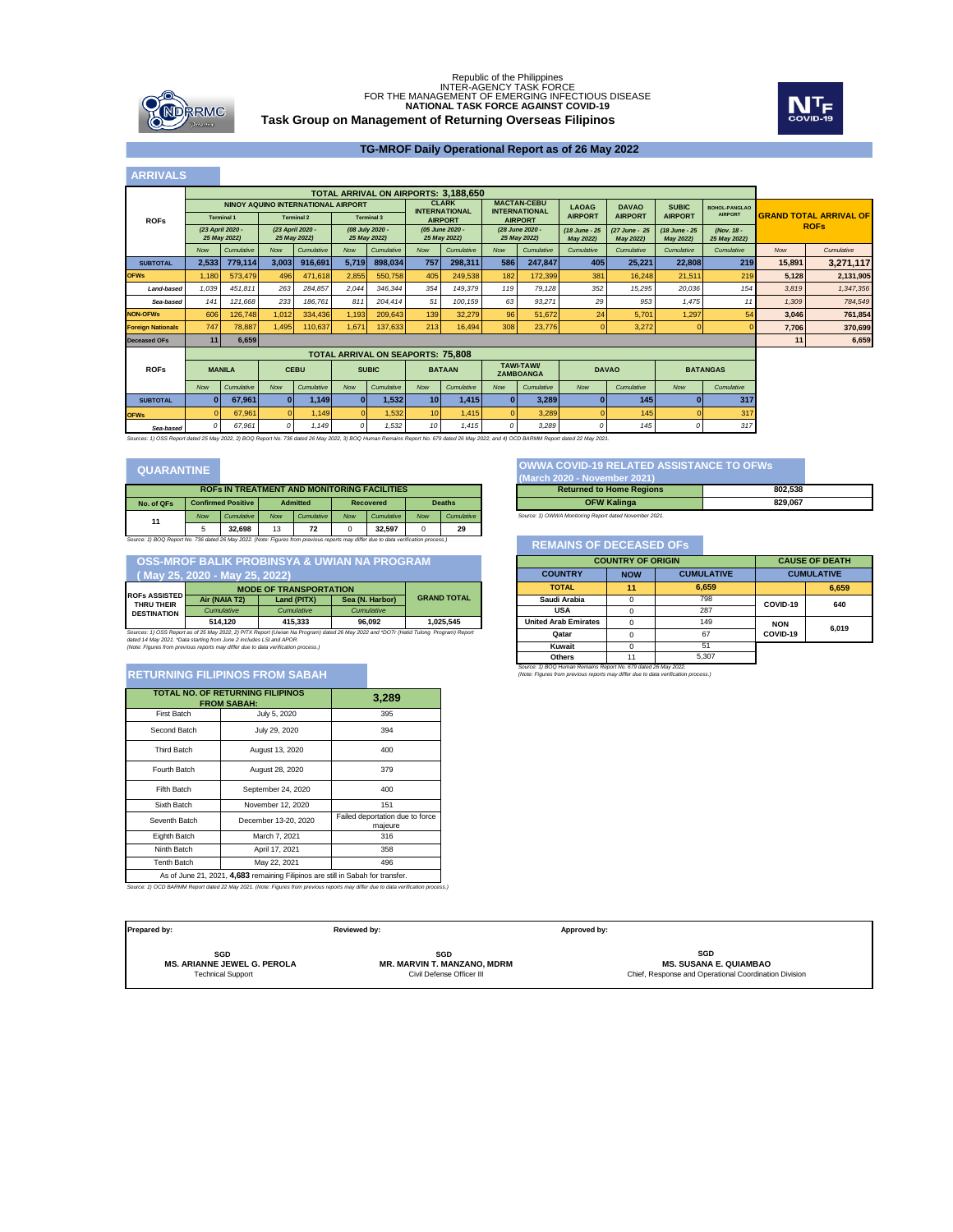

## **Task Group on Management of Returning Overseas Filipinos** Republic of the Philippines<br>INTER-AGENCY TASK FORCE<br>FOR THE MANAGEMENT OF EMERGING INFECTIOUS DISEASE **NATIONAL TASK FORCE AGAINST COVID-19**



### **TG-MROF Daily Operational Report as of 26 May 2022**

#### *(18 June - 25 May 2022) (27 June - 25 May 2022) (18 June - 25 May 2022) (Nov. 18 - 25 May 2022)* Now Cumulative Now Cumulative Now Cumulative Now Cumulative Now Cumulative Cumulative Cumulative Cumulative Cumulative Cumulative Cumulative Cumulative Cumulative Now Cumulative suвтотѧ∟ | 2,533| 779,114| 3,003| 916,691| 5,719| 898,034| 757| 298,311| 586| 247,847| 405| 25,221| 22,808| 219| 15,891| 3,271,117 **OFWs** 1,180 573,479 496 471,618 2,855 550,758 405 249,538 182 172,399 381 16,248 21,511 219 **5,128 2,131,905** Land-based 1,039 451,811 263 284,857 2,044 346,344 354 149,379 119 79,128 352 15,295 20,036 154 3,819 1,347,356 *Sea-based 141 121,668 233 186,761 811 204,414 51 100,159 63 93,271 29 953 1,475 11 1,309 784,549* **NON-OFWs** 606 126,748 1,012 334,436 1,193 209,643 139 32,279 96 51,672 24 5,701 1,297 54 **3,046 761,854 Foreign Nationals** 747 78,887 1,495 110,637 1,671 137,633 213 16,494 308 23,776 0 3,272 0 0 **7,706 370,699 Deceased OFs 11 6,659 11 6,659** *Now Cumulative Now Cumulative Now Cumulative Now Cumulative Now Cumulative Now Cumulative Now Cumulative* **SUBTOTAL 0 67,961 0 1,149 0 1,532 10 1,415 0 3,289 0 145 0 317 OFWs** 0 67,961 0 1,149 0 1,532 10 1,415 0 3,289 0 145 0 317 **TOTAL ARRIVAL ON AIRPORTS: 3,188,650 NINOY AQUINO INTERNATIONAL AIRPORT INTERNATIONAL AIRPORT**<br> **AIRPORT**<br> **AIRI** 2020 - 23 April 2020 - (06 July 2020 - 105 June 2020 - 125 May 2022)<br>
25 May 2022) - 25 May 2022) - 25 May 2022 - 25 May 2022 **MACTAN-CEBU INTERNATIONAL AIRPORT** *(28 June 2020 - 25 May 2022)* **LAOAG AIRPORT 75,808 TOTAL ARRIVAL ON SEAPORTS: TAWI-TAWI/ ZAMBOANGA DAVAO BATANGAS DAVAO AIRPORT SUBIC AIRPORT BOHOL-PANGLAO AIRPORT ROFs MANILA CEBU SUBIC BATAAN GRAND TOTAL ARRIVAL OF ROFs ARRIVALS ROFs** *(08 July 2020 - 25 May 2022) (23 April 2020 - 25 May 2022) (23 April 2020 - 25 May 2022)*

*Sea-based 0 67,961 0 1,149 0 1,532 10 1,415 0 3,289 0 145 0 317 Sources: 1) OSS Report dated 25 May 2022, 2) BOQ Report No. 736 dated 26 May 2022, 3) BOQ Human Remains Report No. 679 dated 26 May 2022, and 4) OCD BARMM Report dated 22 May 2021.*

## **QUARANTINE**

| <b>ROFS IN TREATMENT AND MONITORING FACILITIES</b>                                                                                  |            |                                              |            |            |            |            |               |            |
|-------------------------------------------------------------------------------------------------------------------------------------|------------|----------------------------------------------|------------|------------|------------|------------|---------------|------------|
| No. of QFs                                                                                                                          |            | <b>Confirmed Positive</b><br><b>Admitted</b> |            |            | Recovered  |            | <b>Deaths</b> |            |
| 11                                                                                                                                  | <b>Now</b> | Cumulative                                   | <b>Now</b> | Cumulative | <b>Now</b> | Cumulative | <b>Now</b>    | Cumulative |
|                                                                                                                                     | 5          | 32.698                                       | 13         | 72         |            | 32.597     |               | 29         |
| Source: 1) BOQ Report No. 736 dated 26 May 2022. (Note: Figures from previous reports may differ due to data verification process.) |            |                                              |            |            |            |            |               |            |

 **OSS-MROF BALIK PROBINSYA & UWIAN NA PROGRAM**

| May 25, 2020 - May 25, 2022)                                                                                                          |                               |                   |                 |                    |  |
|---------------------------------------------------------------------------------------------------------------------------------------|-------------------------------|-------------------|-----------------|--------------------|--|
|                                                                                                                                       | <b>MODE OF TRANSPORTATION</b> |                   |                 |                    |  |
| <b>ROFS ASSISTED</b><br>THRU THEIR                                                                                                    | Air (NAIA T2)                 | Land (PITX)       | Sea (N. Harbor) | <b>GRAND TOTAL</b> |  |
| <b>DESTINATION</b>                                                                                                                    | <b>Cumulative</b>             | <b>Cumulative</b> | Cumulative      |                    |  |
|                                                                                                                                       | 514.120                       | 415.333           | 96.092          | 1.025.545          |  |
| Sources: 1) OSS Report as of 25 May 2022, 2) PITX Report (Uwian Na Program) dated 26 May 2022 and *DOTr (Hatid Tulong Program) Report |                               |                   |                 |                    |  |
| dated 14 May 2021. "Data starting from June 2 includes LSI and APOR.                                                                  |                               |                   |                 |                    |  |
| (Note: Figures from previous reports may differ due to data verification process.)                                                    |                               |                   |                 |                    |  |

## **RETURNING FILIPINOS FROM SABAH**

| <b>TOTAL NO. OF RETURNING FILIPINOS</b><br><b>FROM SABAH:</b>                   | 3,289                |                                            |  |  |  |
|---------------------------------------------------------------------------------|----------------------|--------------------------------------------|--|--|--|
| <b>First Batch</b>                                                              | July 5, 2020         | 395                                        |  |  |  |
| Second Batch                                                                    | July 29, 2020        | 394                                        |  |  |  |
| <b>Third Batch</b>                                                              | August 13, 2020      | 400                                        |  |  |  |
| Fourth Batch                                                                    | August 28, 2020      | 379                                        |  |  |  |
| <b>Fifth Batch</b>                                                              | September 24, 2020   | 400                                        |  |  |  |
| Sixth Batch                                                                     | November 12, 2020    | 151                                        |  |  |  |
| Seventh Batch                                                                   | December 13-20, 2020 | Failed deportation due to force<br>majeure |  |  |  |
| Eighth Batch                                                                    | March 7, 2021        | 316                                        |  |  |  |
| Ninth Batch                                                                     | April 17, 2021       | 358                                        |  |  |  |
| <b>Tenth Batch</b>                                                              | May 22, 2021         | 496                                        |  |  |  |
| As of June 21, 2021, 4.683 remaining Filipinos are still in Sabah for transfer. |                      |                                            |  |  |  |

*Source: 1) OCD BARMM Report dated 22 May 2021. (Note: Figures from previous reports may differ due to data verification process.)*

## **OWWA COVID-19 RELATED ASSISTANCE TO OFWs (March 2020 - November 2021) ROFs IN TREATMENT AND MONITORING FACILITIES Returned to Home Regions 802,538 OFW Kalinga 829,067**

*Source: 1) OWWA Monitoring Report dated November 2021.*

### *Source: 1) BOQ Report No. 736 dated 26 May 2022. (Note: Figures from previous reports may differ due to data verification process.)* **REMAINS OF DECEASED OFs**

| ÀМ                                       |                | <b>COUNTRY OF ORIGIN</b> |                   |            |                   |
|------------------------------------------|----------------|--------------------------|-------------------|------------|-------------------|
|                                          | <b>COUNTRY</b> | <b>NOW</b>               | <b>CUMULATIVE</b> |            | <b>CUMULATIVE</b> |
|                                          | <b>TOTAL</b>   | 11                       | 6.659             |            | 6,659             |
| <b>GRAND TOTAL</b>                       | Saudi Arabia   |                          | 798               | COVID-19   | 640               |
|                                          | <b>USA</b>     |                          | 287               |            |                   |
| <b>United Arab Emirates</b><br>1.025.545 |                |                          | 149               | <b>NON</b> | 6.019             |
| ulong Program) Report                    | Qatar          |                          | 67                | COVID-19   |                   |
|                                          | Kuwait         |                          | 51                |            |                   |
|                                          | <b>Others</b>  | 11                       | 5.307             |            |                   |

*Source: 1) BOQ Human Remains Report No. 679 dated 26 May 2022. (Note: Figures from previous reports may differ due to data verification process.)*

| Prepared by:                       | Reviewed by:                       | Approved by:                                          |
|------------------------------------|------------------------------------|-------------------------------------------------------|
| SGD                                | SGD                                | SGD                                                   |
| <b>MS. ARIANNE JEWEL G. PEROLA</b> | <b>MR. MARVIN T. MANZANO. MDRM</b> | <b>MS. SUSANA E. QUIAMBAO</b>                         |
| <b>Technical Support</b>           | Civil Defense Officer III          | Chief, Response and Operational Coordination Division |